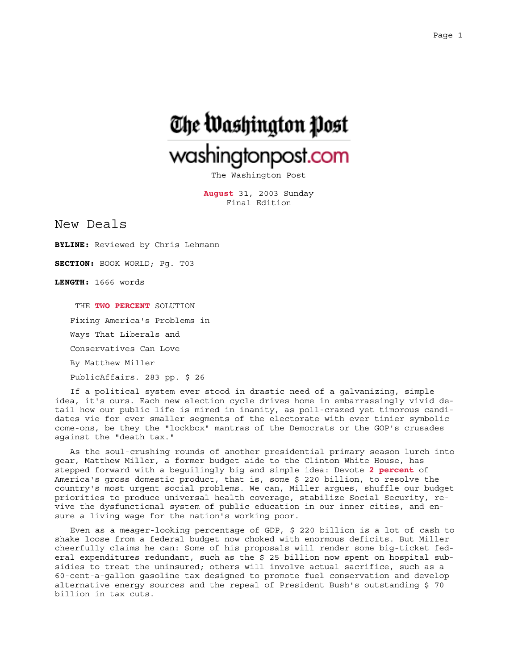

The Washington Post

**August** 31, 2003 Sunday Final Edition

New Deals

**BYLINE:** Reviewed by Chris Lehmann

**SECTION:** BOOK WORLD; Pg. T03

**LENGTH:** 1666 words

 THE **TWO PERCENT** SOLUTION Fixing America's Problems in

Ways That Liberals and

Conservatives Can Love

By Matthew Miller

PublicAffairs. 283 pp. \$ 26

If a political system ever stood in drastic need of a galvanizing, simple idea, it's ours. Each new election cycle drives home in embarrassingly vivid detail how our public life is mired in inanity, as poll-crazed yet timorous candidates vie for ever smaller segments of the electorate with ever tinier symbolic come-ons, be they the "lockbox" mantras of the Democrats or the GOP's crusades against the "death tax."

As the soul-crushing rounds of another presidential primary season lurch into gear, Matthew Miller, a former budget aide to the Clinton White House, has stepped forward with a beguilingly big and simple idea: Devote **2 percent** of America's gross domestic product, that is, some \$ 220 billion, to resolve the country's most urgent social problems. We can, Miller argues, shuffle our budget priorities to produce universal health coverage, stabilize Social Security, revive the dysfunctional system of public education in our inner cities, and ensure a living wage for the nation's working poor.

Even as a meager-looking percentage of GDP, \$ 220 billion is a lot of cash to shake loose from a federal budget now choked with enormous deficits. But Miller cheerfully claims he can: Some of his proposals will render some big-ticket federal expenditures redundant, such as the \$ 25 billion now spent on hospital subsidies to treat the uninsured; others will involve actual sacrifice, such as a 60-cent-a-gallon gasoline tax designed to promote fuel conservation and develop alternative energy sources and the repeal of President Bush's outstanding \$ 70 billion in tax cuts.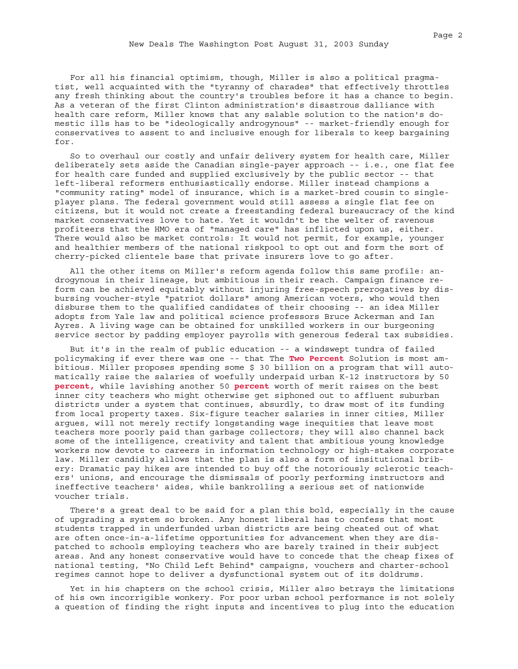For all his financial optimism, though, Miller is also a political pragmatist, well acquainted with the "tyranny of charades" that effectively throttles any fresh thinking about the country's troubles before it has a chance to begin. As a veteran of the first Clinton administration's disastrous dalliance with health care reform, Miller knows that any salable solution to the nation's domestic ills has to be "ideologically androgynous" -- market-friendly enough for conservatives to assent to and inclusive enough for liberals to keep bargaining for.

So to overhaul our costly and unfair delivery system for health care, Miller deliberately sets aside the Canadian single-payer approach -- i.e., one flat fee for health care funded and supplied exclusively by the public sector -- that left-liberal reformers enthusiastically endorse. Miller instead champions a "community rating" model of insurance, which is a market-bred cousin to singleplayer plans. The federal government would still assess a single flat fee on citizens, but it would not create a freestanding federal bureaucracy of the kind market conservatives love to hate. Yet it wouldn't be the welter of ravenous profiteers that the HMO era of "managed care" has inflicted upon us, either. There would also be market controls: It would not permit, for example, younger and healthier members of the national riskpool to opt out and form the sort of cherry-picked clientele base that private insurers love to go after.

All the other items on Miller's reform agenda follow this same profile: androgynous in their lineage, but ambitious in their reach. Campaign finance reform can be achieved equitably without injuring free-speech prerogatives by disbursing voucher-style "patriot dollars" among American voters, who would then disburse them to the qualified candidates of their choosing -- an idea Miller adopts from Yale law and political science professors Bruce Ackerman and Ian Ayres. A living wage can be obtained for unskilled workers in our burgeoning service sector by padding employer payrolls with generous federal tax subsidies.

But it's in the realm of public education -- a windswept tundra of failed policymaking if ever there was one -- that The **Two Percent** Solution is most ambitious. Miller proposes spending some \$ 30 billion on a program that will automatically raise the salaries of woefully underpaid urban K-12 instructors by 50 **percent,** while lavishing another 50 **percent** worth of merit raises on the best inner city teachers who might otherwise get siphoned out to affluent suburban districts under a system that continues, absurdly, to draw most of its funding from local property taxes. Six-figure teacher salaries in inner cities, Miller argues, will not merely rectify longstanding wage inequities that leave most teachers more poorly paid than garbage collectors; they will also channel back some of the intelligence, creativity and talent that ambitious young knowledge workers now devote to careers in information technology or high-stakes corporate law. Miller candidly allows that the plan is also a form of insitutional bribery: Dramatic pay hikes are intended to buy off the notoriously sclerotic teachers' unions, and encourage the dismissals of poorly performing instructors and ineffective teachers' aides, while bankrolling a serious set of nationwide voucher trials.

There's a great deal to be said for a plan this bold, especially in the cause of upgrading a system so broken. Any honest liberal has to confess that most students trapped in underfunded urban districts are being cheated out of what are often once-in-a-lifetime opportunities for advancement when they are dispatched to schools employing teachers who are barely trained in their subject areas. And any honest conservative would have to concede that the cheap fixes of national testing, "No Child Left Behind" campaigns, vouchers and charter-school regimes cannot hope to deliver a dysfunctional system out of its doldrums.

Yet in his chapters on the school crisis, Miller also betrays the limitations of his own incorrigible wonkery. For poor urban school performance is not solely a question of finding the right inputs and incentives to plug into the education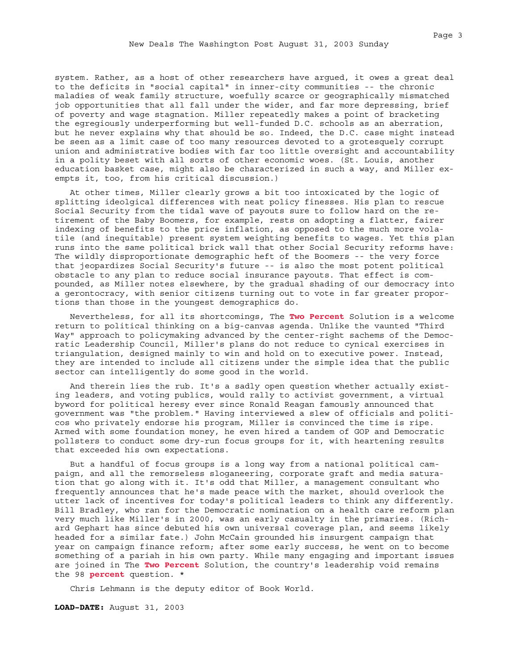system. Rather, as a host of other researchers have argued, it owes a great deal to the deficits in "social capital" in inner-city communities -- the chronic maladies of weak family structure, woefully scarce or geographically mismatched job opportunities that all fall under the wider, and far more depressing, brief of poverty and wage stagnation. Miller repeatedly makes a point of bracketing the egregiously underperforming but well-funded D.C. schools as an aberration, but he never explains why that should be so. Indeed, the D.C. case might instead be seen as a limit case of too many resources devoted to a grotesquely corrupt union and administrative bodies with far too little oversight and accountability in a polity beset with all sorts of other economic woes. (St. Louis, another education basket case, might also be characterized in such a way, and Miller exempts it, too, from his critical discussion.)

At other times, Miller clearly grows a bit too intoxicated by the logic of splitting ideolgical differences with neat policy finesses. His plan to rescue Social Security from the tidal wave of payouts sure to follow hard on the retirement of the Baby Boomers, for example, rests on adopting a flatter, fairer indexing of benefits to the price inflation, as opposed to the much more volatile (and inequitable) present system weighting benefits to wages. Yet this plan runs into the same political brick wall that other Social Security reforms have: The wildly disproportionate demographic heft of the Boomers -- the very force that jeopardizes Social Security's future -- is also the most potent political obstacle to any plan to reduce social insurance payouts. That effect is compounded, as Miller notes elsewhere, by the gradual shading of our democracy into a gerontocracy, with senior citizens turning out to vote in far greater proportions than those in the youngest demographics do.

Nevertheless, for all its shortcomings, The **Two Percent** Solution is a welcome return to political thinking on a big-canvas agenda. Unlike the vaunted "Third Way" approach to policymaking advanced by the center-right sachems of the Democratic Leadership Council, Miller's plans do not reduce to cynical exercises in triangulation, designed mainly to win and hold on to executive power. Instead, they are intended to include all citizens under the simple idea that the public sector can intelligently do some good in the world.

And therein lies the rub. It's a sadly open question whether actually existing leaders, and voting publics, would rally to activist government, a virtual byword for political heresy ever since Ronald Reagan famously announced that government was "the problem." Having interviewed a slew of officials and politicos who privately endorse his program, Miller is convinced the time is ripe. Armed with some foundation money, he even hired a tandem of GOP and Democratic pollsters to conduct some dry-run focus groups for it, with heartening results that exceeded his own expectations.

But a handful of focus groups is a long way from a national political campaign, and all the remorseless sloganeering, corporate graft and media saturation that go along with it. It's odd that Miller, a management consultant who frequently announces that he's made peace with the market, should overlook the utter lack of incentives for today's political leaders to think any differently. Bill Bradley, who ran for the Democratic nomination on a health care reform plan very much like Miller's in 2000, was an early casualty in the primaries. (Richard Gephart has since debuted his own universal coverage plan, and seems likely headed for a similar fate.) John McCain grounded his insurgent campaign that year on campaign finance reform; after some early success, he went on to become something of a pariah in his own party. While many engaging and important issues are joined in The **Two Percent** Solution, the country's leadership void remains the 98 **percent** question. \*

Chris Lehmann is the deputy editor of Book World.

**LOAD-DATE:** August 31, 2003